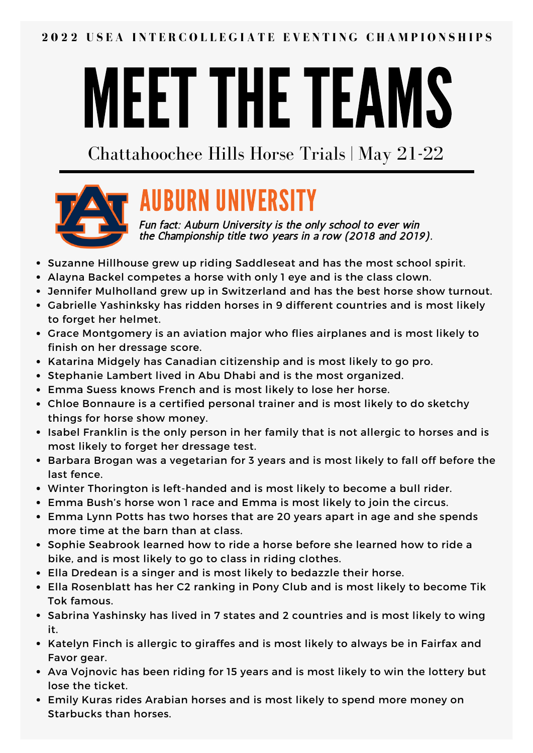# MEET THE TEAMS

Chattahoochee Hills Horse Trials | May 21-22



# AUBURN UNIVERSITY

Fun fact: Auburn University is the only school to ever win the Championship title two years in a row (2018 and 2019).

- Suzanne Hillhouse grew up riding Saddleseat and has the most school spirit.
- Alayna Backel competes a horse with only 1 eye and is the class clown.
- Jennifer Mulholland grew up in Switzerland and has the best horse show turnout.
- Gabrielle Yashinksky has ridden horses in 9 different countries and is most likely to forget her helmet.
- Grace Montgomery is an aviation major who flies airplanes and is most likely to finish on her dressage score.
- Katarina Midgely has Canadian citizenship and is most likely to go pro.
- Stephanie Lambert lived in Abu Dhabi and is the most organized.
- Emma Suess knows French and is most likely to lose her horse.
- Chloe Bonnaure is a certified personal trainer and is most likely to do sketchy things for horse show money.
- Isabel Franklin is the only person in her family that is not allergic to horses and is most likely to forget her dressage test.
- Barbara Brogan was a vegetarian for 3 years and is most likely to fall off before the last fence.
- Winter Thorington is left-handed and is most likely to become a bull rider.
- Emma Bush's horse won 1 race and Emma is most likely to join the circus.
- Emma Lynn Potts has two horses that are 20 years apart in age and she spends more time at the barn than at class.
- Sophie Seabrook learned how to ride a horse before she learned how to ride a bike, and is most likely to go to class in riding clothes.
- Ella Dredean is a singer and is most likely to bedazzle their horse.
- Ella Rosenblatt has her C2 ranking in Pony Club and is most likely to become Tik Tok famous.
- Sabrina Yashinsky has lived in 7 states and 2 countries and is most likely to wing it.
- Katelyn Finch is allergic to giraffes and is most likely to always be in Fairfax and Favor gear.
- Ava Vojnovic has been riding for 15 years and is most likely to win the lottery but lose the ticket.
- Emily Kuras rides Arabian horses and is most likely to spend more money on Starbucks than horses.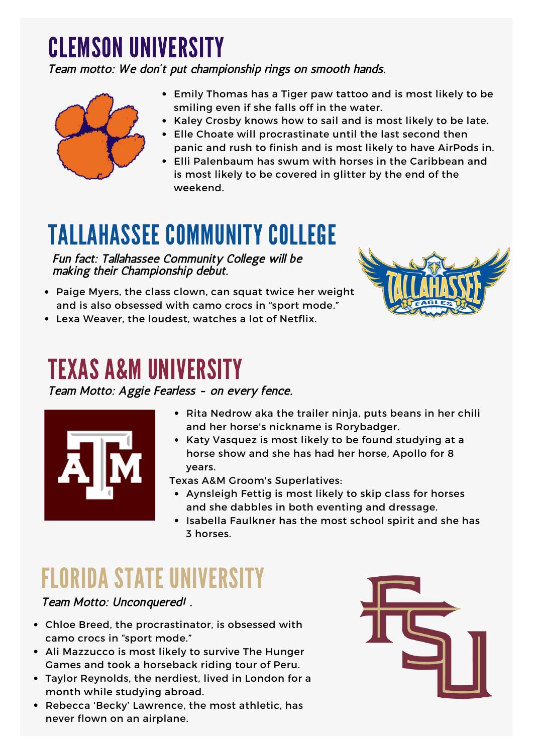## CLEMSON UNIVERSITY

Team motto: We don't put championship rings on smooth hands.



- Emily Thomas has a Tiger paw tattoo and is most likely to be smiling even if she falls off in the water.
- Kaley Crosby knows how to sail and is most likely to be late.
- Elle Choate will procrastinate until the last second then panic and rush to finish and is most likely to have AirPods in.
- Elli Palenbaum has swum with horses in the Caribbean and is most likely to be covered in glitter by the end of the weekend.

## TALLAHASSEE COMMUNITY COLLEGE

Fun fact: Tallahassee Community College will be making their Championship debut.

- Paige Myers, the class clown, can squat twice her weight and is also obsessed with camo crocs in "sport mode."
- Lexa Weaver, the loudest, watches a lot of Netflix.

#### TEXAS A&M UNIVERSITY

Team Motto: Aggie Fearless - on every fence.



- Rita Nedrow aka the trailer ninja, puts beans in her chili and her horse's nickname is Rorybadger.
- Katy Vasquez is most likely to be found studying at a horse show and she has had her horse, Apollo for 8 years.

Texas A&M Groom's Superlatives:

- Aynsleigh Fettig is most likely to skip class for horses and she dabbles in both eventing and dressage.
- Isabella Faulkner has the most school spirit and she has 3 horses.

## FLORIDA STATE UNIVERSITY

Team Motto: Unconquered! .

- Chloe Breed, the procrastinator, is obsessed with camo crocs in "sport mode."
- Ali Mazzucco is most likely to survive The Hunger Games and took a horseback riding tour of Peru.
- Taylor Reynolds, the nerdiest, lived in London for a month while studying abroad.
- Rebecca 'Becky' Lawrence, the most athletic, has never flown on an airplane.

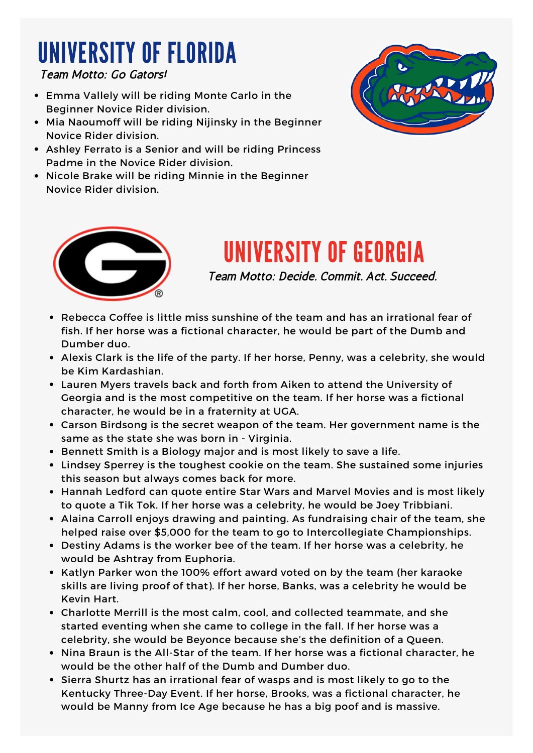## UNIVERSITY OF FLORIDA

Team Motto: Go Gators!

- Emma Vallely will be riding Monte Carlo in the Beginner Novice Rider division.
- Mia Naoumoff will be riding Nijinsky in the Beginner Novice Rider division.
- Ashley Ferrato is a Senior and will be riding Princess Padme in the Novice Rider division.
- Nicole Brake will be riding Minnie in the Beginner Novice Rider division.





#### UNIVERSITY OF GEORGIA

Team Motto: Decide. Commit. Act. Succeed.

- Rebecca Coffee is little miss sunshine of the team and has an irrational fear of fish. If her horse was a fictional character, he would be part of the Dumb and Dumber duo.
- Alexis Clark is the life of the party. If her horse, Penny, was a celebrity, she would be Kim Kardashian.
- Lauren Myers travels back and forth from Aiken to attend the University of Georgia and is the most competitive on the team. If her horse was a fictional character, he would be in a fraternity at UGA.
- Carson Birdsong is the secret weapon of the team. Her government name is the same as the state she was born in - Virginia.
- **Bennett Smith is a Biology major and is most likely to save a life.**
- Lindsey Sperrey is the toughest cookie on the team. She sustained some injuries this season but always comes back for more.
- Hannah Ledford can quote entire Star Wars and Marvel Movies and is most likely to quote a Tik Tok. If her horse was a celebrity, he would be Joey Tribbiani.
- Alaina Carroll enjoys drawing and painting. As fundraising chair of the team, she helped raise over \$5,000 for the team to go to Intercollegiate Championships.
- Destiny Adams is the worker bee of the team. If her horse was a celebrity, he would be Ashtray from Euphoria.
- Katlyn Parker won the 100% effort award voted on by the team (her karaoke skills are living proof of that). If her horse, Banks, was a celebrity he would be Kevin Hart.
- Charlotte Merrill is the most calm, cool, and collected teammate, and she started eventing when she came to college in the fall. If her horse was a celebrity, she would be Beyonce because she's the definition of a Queen.
- Nina Braun is the All-Star of the team. If her horse was a fictional character, he would be the other half of the Dumb and Dumber duo.
- Sierra Shurtz has an irrational fear of wasps and is most likely to go to the Kentucky Three-Day Event. If her horse, Brooks, was a fictional character, he would be Manny from Ice Age because he has a big poof and is massive.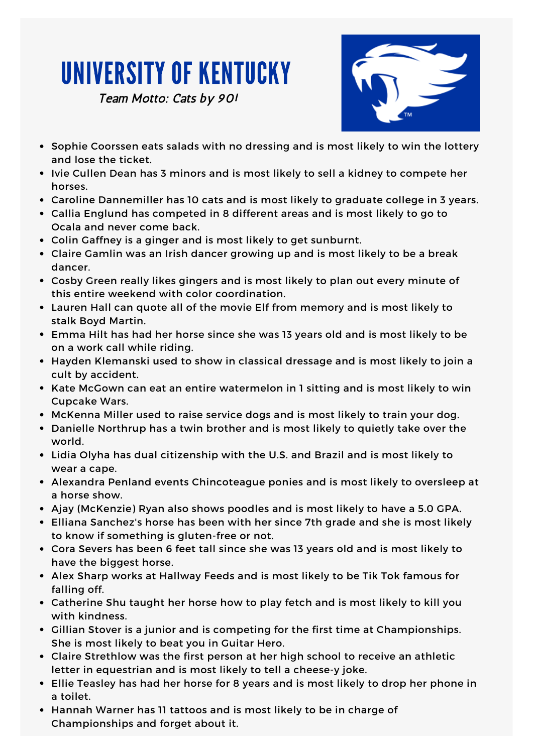## UNIVERSITY OF KENTUCKY

Team Motto: Cats by 90!



- Sophie Coorssen eats salads with no dressing and is most likely to win the lottery and lose the ticket.
- Ivie Cullen Dean has 3 minors and is most likely to sell a kidney to compete her horses.
- Caroline Dannemiller has 10 cats and is most likely to graduate college in 3 years.
- Callia Englund has competed in 8 different areas and is most likely to go to Ocala and never come back.
- Colin Gaffney is a ginger and is most likely to get sunburnt.
- Claire Gamlin was an Irish dancer growing up and is most likely to be a break dancer.
- Cosby Green really likes gingers and is most likely to plan out every minute of this entire weekend with color coordination.
- Lauren Hall can quote all of the movie Elf from memory and is most likely to stalk Boyd Martin.
- Emma Hilt has had her horse since she was 13 years old and is most likely to be on a work call while riding.
- Hayden Klemanski used to show in classical dressage and is most likely to join a cult by accident.
- Kate McGown can eat an entire watermelon in 1 sitting and is most likely to win Cupcake Wars.
- McKenna Miller used to raise service dogs and is most likely to train your dog.
- Danielle Northrup has a twin brother and is most likely to quietly take over the world.
- Lidia Olyha has dual citizenship with the U.S. and Brazil and is most likely to wear a cape.
- Alexandra Penland events Chincoteague ponies and is most likely to oversleep at a horse show.
- Ajay (McKenzie) Ryan also shows poodles and is most likely to have a 5.0 GPA.
- Elliana Sanchez's horse has been with her since 7th grade and she is most likely to know if something is gluten-free or not.
- Cora Severs has been 6 feet tall since she was 13 years old and is most likely to have the biggest horse.
- Alex Sharp works at Hallway Feeds and is most likely to be Tik Tok famous for falling off.
- Catherine Shu taught her horse how to play fetch and is most likely to kill you with kindness.
- Gillian Stover is a junior and is competing for the first time at Championships. She is most likely to beat you in Guitar Hero.
- Claire Strethlow was the first person at her high school to receive an athletic letter in equestrian and is most likely to tell a cheese-y joke.
- Ellie Teasley has had her horse for 8 years and is most likely to drop her phone in a toilet.
- Hannah Warner has 11 tattoos and is most likely to be in charge of Championships and forget about it.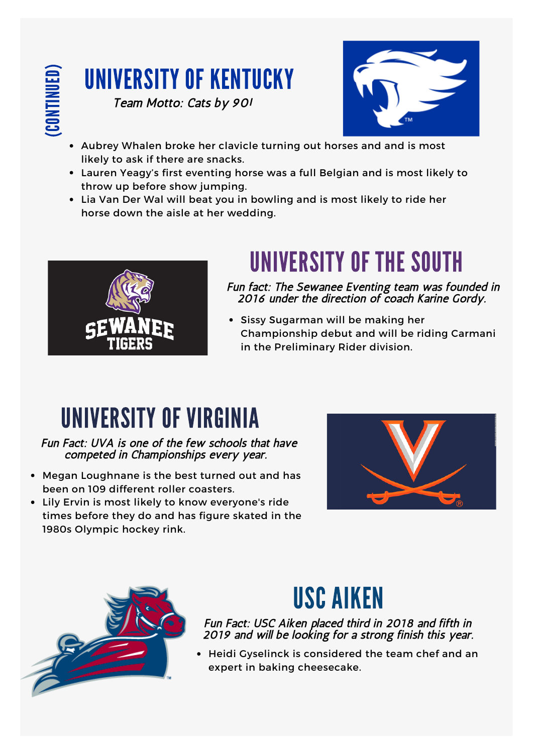

#### UNIVERSITY OF KENTUCKY Team Motto: Cats by 90!



- Aubrey Whalen broke her clavicle turning out horses and and is most likely to ask if there are snacks.
- Lauren Yeagy's first eventing horse was a full Belgian and is most likely to throw up before show jumping.
- Lia Van Der Wal will beat you in bowling and is most likely to ride her horse down the aisle at her wedding.



## UNIVERSITY OF THE SOUTH

Fun fact: The Sewanee Eventing team was founded in 2016 under the direction of coach Karine Gordy.

Sissy Sugarman will be making her Championship debut and will be riding Carmani in the Preliminary Rider division.

## UNIVERSITY OF VIRGINIA

Fun Fact: UVA is one of the few schools that have competed in Championships every year.

- Megan Loughnane is the best turned out and has been on 109 different roller coasters.
- Lily Ervin is most likely to know everyone's ride times before they do and has figure skated in the 1980s Olympic hockey rink.





## USC AIKEN

Fun Fact: USC Aiken placed third in 2018 and fifth in 2019 and will be looking for a strong finish this year.

Heidi Gyselinck is considered the team chef and an expert in baking cheesecake.